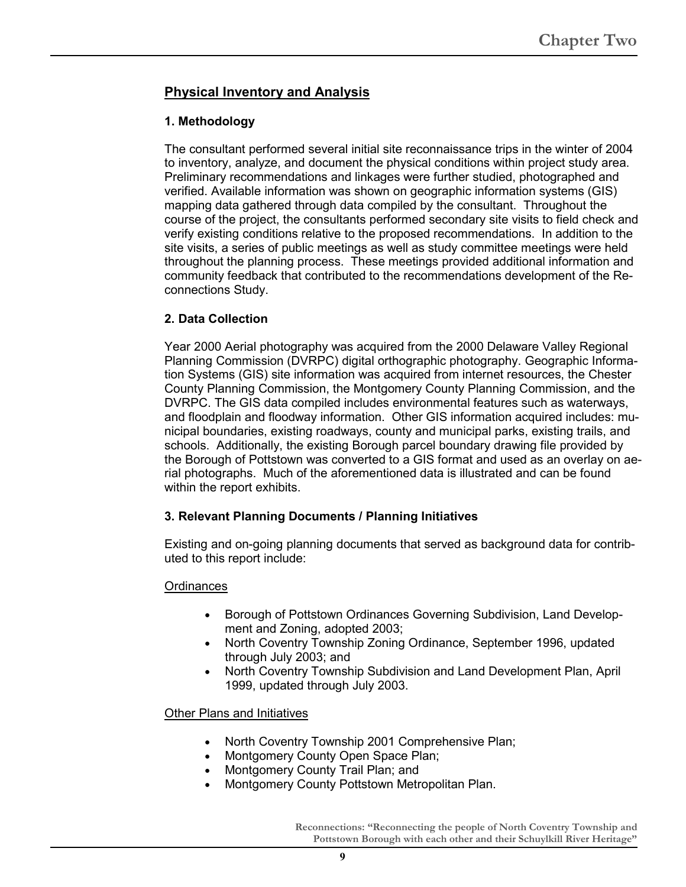# **Physical Inventory and Analysis**

## **1. Methodology**

The consultant performed several initial site reconnaissance trips in the winter of 2004 to inventory, analyze, and document the physical conditions within project study area. Preliminary recommendations and linkages were further studied, photographed and verified. Available information was shown on geographic information systems (GIS) mapping data gathered through data compiled by the consultant. Throughout the course of the project, the consultants performed secondary site visits to field check and verify existing conditions relative to the proposed recommendations. In addition to the site visits, a series of public meetings as well as study committee meetings were held throughout the planning process. These meetings provided additional information and community feedback that contributed to the recommendations development of the Reconnections Study.

## **2. Data Collection**

Year 2000 Aerial photography was acquired from the 2000 Delaware Valley Regional Planning Commission (DVRPC) digital orthographic photography. Geographic Information Systems (GIS) site information was acquired from internet resources, the Chester County Planning Commission, the Montgomery County Planning Commission, and the DVRPC. The GIS data compiled includes environmental features such as waterways, and floodplain and floodway information. Other GIS information acquired includes: municipal boundaries, existing roadways, county and municipal parks, existing trails, and schools. Additionally, the existing Borough parcel boundary drawing file provided by the Borough of Pottstown was converted to a GIS format and used as an overlay on aerial photographs. Much of the aforementioned data is illustrated and can be found within the report exhibits.

## **3. Relevant Planning Documents / Planning Initiatives**

Existing and on-going planning documents that served as background data for contributed to this report include:

## **Ordinances**

- Borough of Pottstown Ordinances Governing Subdivision, Land Development and Zoning, adopted 2003;
- North Coventry Township Zoning Ordinance, September 1996, updated through July 2003; and
- North Coventry Township Subdivision and Land Development Plan, April 1999, updated through July 2003.

Other Plans and Initiatives

- North Coventry Township 2001 Comprehensive Plan;
- Montgomery County Open Space Plan;
- Montgomery County Trail Plan; and
- Montgomery County Pottstown Metropolitan Plan.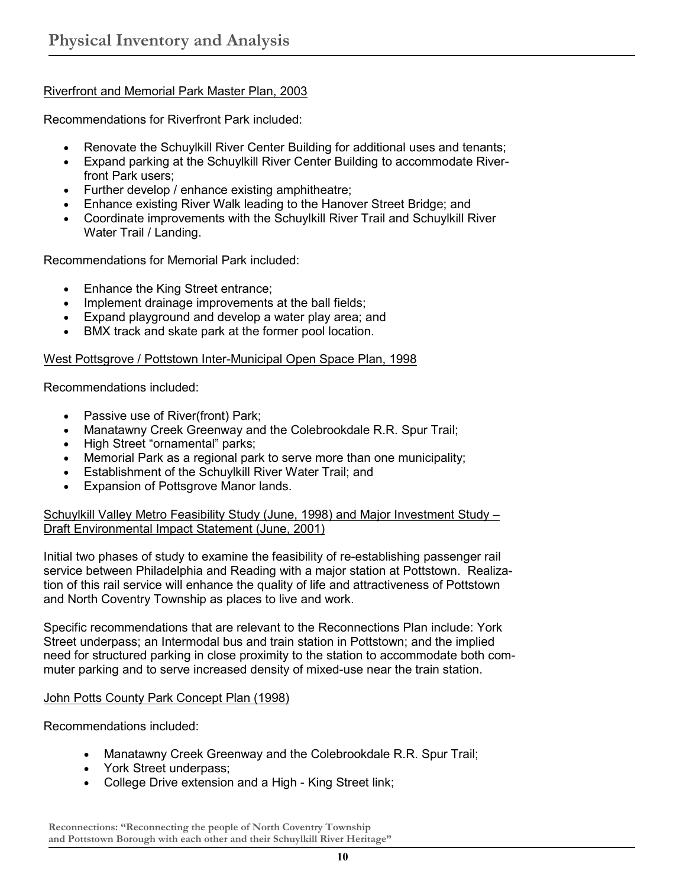## Riverfront and Memorial Park Master Plan, 2003

Recommendations for Riverfront Park included:

- Renovate the Schuylkill River Center Building for additional uses and tenants;
- Expand parking at the Schuylkill River Center Building to accommodate Riverfront Park users;
- Further develop / enhance existing amphitheatre;
- Enhance existing River Walk leading to the Hanover Street Bridge; and
- Coordinate improvements with the Schuylkill River Trail and Schuylkill River Water Trail / Landing.

Recommendations for Memorial Park included:

- Enhance the King Street entrance;
- Implement drainage improvements at the ball fields;
- Expand playground and develop a water play area; and
- BMX track and skate park at the former pool location.

## West Pottsgrove / Pottstown Inter-Municipal Open Space Plan, 1998

Recommendations included:

- Passive use of River(front) Park;
- Manatawny Creek Greenway and the Colebrookdale R.R. Spur Trail;
- High Street "ornamental" parks;
- Memorial Park as a regional park to serve more than one municipality;
- Establishment of the Schuylkill River Water Trail; and
- Expansion of Pottsgrove Manor lands.

Schuylkill Valley Metro Feasibility Study (June, 1998) and Major Investment Study – Draft Environmental Impact Statement (June, 2001)

Initial two phases of study to examine the feasibility of re-establishing passenger rail service between Philadelphia and Reading with a major station at Pottstown. Realization of this rail service will enhance the quality of life and attractiveness of Pottstown and North Coventry Township as places to live and work.

Specific recommendations that are relevant to the Reconnections Plan include: York Street underpass; an Intermodal bus and train station in Pottstown; and the implied need for structured parking in close proximity to the station to accommodate both commuter parking and to serve increased density of mixed-use near the train station.

## John Potts County Park Concept Plan (1998)

Recommendations included:

- Manatawny Creek Greenway and the Colebrookdale R.R. Spur Trail;
- York Street underpass;
- College Drive extension and a High King Street link;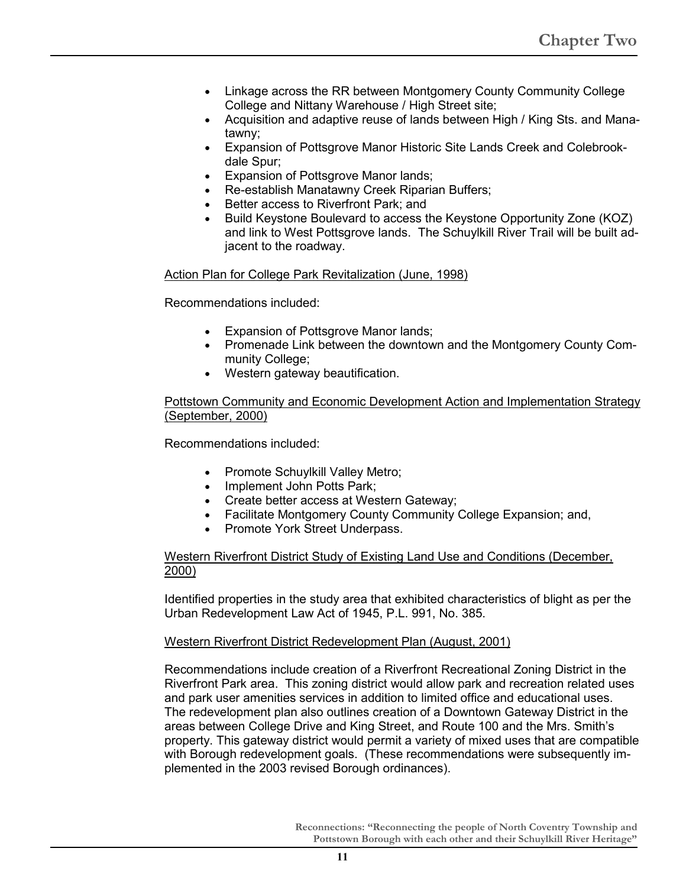- Linkage across the RR between Montgomery County Community College College and Nittany Warehouse / High Street site;
- Acquisition and adaptive reuse of lands between High / King Sts. and Manatawny;
- Expansion of Pottsgrove Manor Historic Site Lands Creek and Colebrookdale Spur;
- **Expansion of Pottsgrove Manor lands;**
- Re-establish Manatawny Creek Riparian Buffers;
- Better access to Riverfront Park; and
- Build Keystone Boulevard to access the Keystone Opportunity Zone (KOZ) and link to West Pottsgrove lands. The Schuylkill River Trail will be built adjacent to the roadway.

## Action Plan for College Park Revitalization (June, 1998)

Recommendations included:

- Expansion of Pottsgrove Manor lands;
- Promenade Link between the downtown and the Montgomery County Community College;
- Western gateway beautification.

## Pottstown Community and Economic Development Action and Implementation Strategy (September, 2000)

Recommendations included:

- Promote Schuylkill Valley Metro;
- Implement John Potts Park;
- Create better access at Western Gateway;
- Facilitate Montgomery County Community College Expansion; and,
- Promote York Street Underpass.

## Western Riverfront District Study of Existing Land Use and Conditions (December, 2000)

Identified properties in the study area that exhibited characteristics of blight as per the Urban Redevelopment Law Act of 1945, P.L. 991, No. 385.

## Western Riverfront District Redevelopment Plan (August, 2001)

Recommendations include creation of a Riverfront Recreational Zoning District in the Riverfront Park area. This zoning district would allow park and recreation related uses and park user amenities services in addition to limited office and educational uses. The redevelopment plan also outlines creation of a Downtown Gateway District in the areas between College Drive and King Street, and Route 100 and the Mrs. Smith's property. This gateway district would permit a variety of mixed uses that are compatible with Borough redevelopment goals. (These recommendations were subsequently implemented in the 2003 revised Borough ordinances).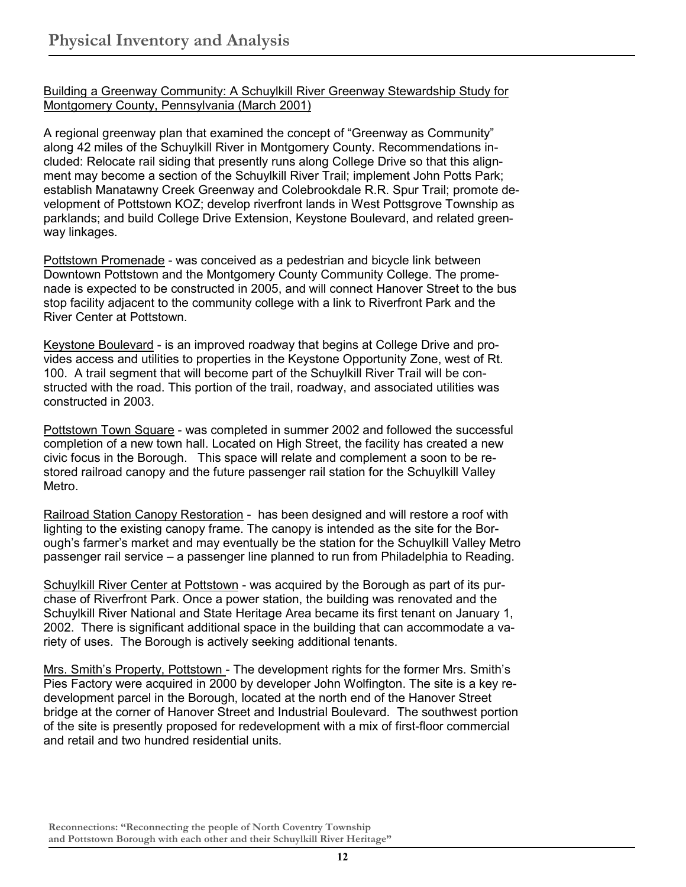Building a Greenway Community: A Schuylkill River Greenway Stewardship Study for Montgomery County, Pennsylvania (March 2001)

A regional greenway plan that examined the concept of "Greenway as Community" along 42 miles of the Schuylkill River in Montgomery County. Recommendations included: Relocate rail siding that presently runs along College Drive so that this alignment may become a section of the Schuylkill River Trail; implement John Potts Park; establish Manatawny Creek Greenway and Colebrookdale R.R. Spur Trail; promote development of Pottstown KOZ; develop riverfront lands in West Pottsgrove Township as parklands; and build College Drive Extension, Keystone Boulevard, and related greenway linkages.

Pottstown Promenade - was conceived as a pedestrian and bicycle link between Downtown Pottstown and the Montgomery County Community College. The promenade is expected to be constructed in 2005, and will connect Hanover Street to the bus stop facility adjacent to the community college with a link to Riverfront Park and the River Center at Pottstown.

Keystone Boulevard - is an improved roadway that begins at College Drive and provides access and utilities to properties in the Keystone Opportunity Zone, west of Rt. 100. A trail segment that will become part of the Schuylkill River Trail will be constructed with the road. This portion of the trail, roadway, and associated utilities was constructed in 2003.

Pottstown Town Square - was completed in summer 2002 and followed the successful completion of a new town hall. Located on High Street, the facility has created a new civic focus in the Borough. This space will relate and complement a soon to be restored railroad canopy and the future passenger rail station for the Schuylkill Valley Metro.

Railroad Station Canopy Restoration - has been designed and will restore a roof with lighting to the existing canopy frame. The canopy is intended as the site for the Borough's farmer's market and may eventually be the station for the Schuylkill Valley Metro passenger rail service – a passenger line planned to run from Philadelphia to Reading.

Schuylkill River Center at Pottstown - was acquired by the Borough as part of its purchase of Riverfront Park. Once a power station, the building was renovated and the Schuylkill River National and State Heritage Area became its first tenant on January 1, 2002. There is significant additional space in the building that can accommodate a variety of uses. The Borough is actively seeking additional tenants.

Mrs. Smith's Property, Pottstown - The development rights for the former Mrs. Smith's Pies Factory were acquired in 2000 by developer John Wolfington. The site is a key redevelopment parcel in the Borough, located at the north end of the Hanover Street bridge at the corner of Hanover Street and Industrial Boulevard. The southwest portion of the site is presently proposed for redevelopment with a mix of first-floor commercial and retail and two hundred residential units.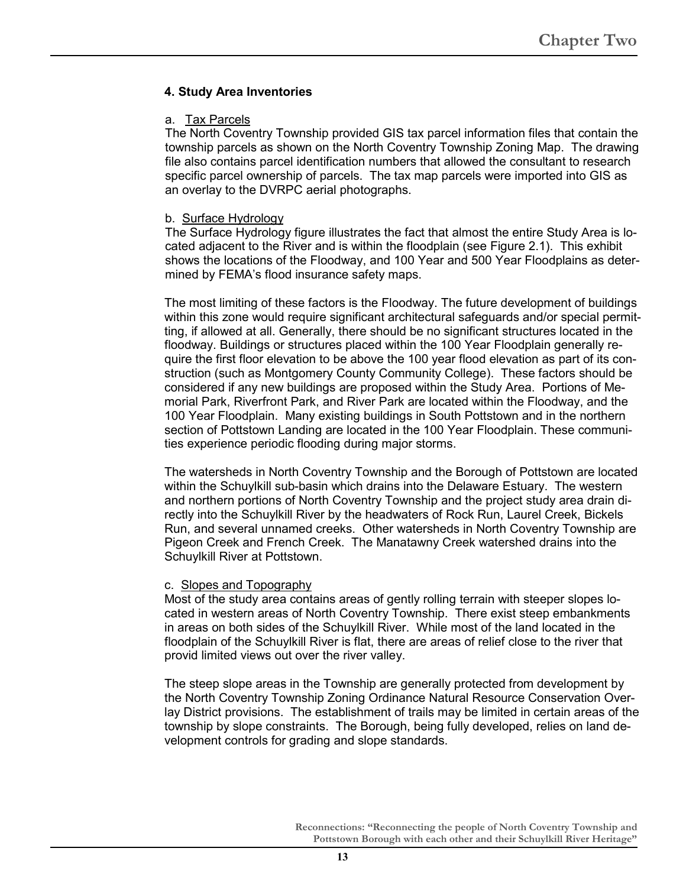## **4. Study Area Inventories**

#### a. Tax Parcels

The North Coventry Township provided GIS tax parcel information files that contain the township parcels as shown on the North Coventry Township Zoning Map. The drawing file also contains parcel identification numbers that allowed the consultant to research specific parcel ownership of parcels. The tax map parcels were imported into GIS as an overlay to the DVRPC aerial photographs.

#### b. Surface Hydrology

The Surface Hydrology figure illustrates the fact that almost the entire Study Area is located adjacent to the River and is within the floodplain (see Figure 2.1). This exhibit shows the locations of the Floodway, and 100 Year and 500 Year Floodplains as determined by FEMA's flood insurance safety maps.

The most limiting of these factors is the Floodway. The future development of buildings within this zone would require significant architectural safeguards and/or special permitting, if allowed at all. Generally, there should be no significant structures located in the floodway. Buildings or structures placed within the 100 Year Floodplain generally require the first floor elevation to be above the 100 year flood elevation as part of its construction (such as Montgomery County Community College). These factors should be considered if any new buildings are proposed within the Study Area. Portions of Memorial Park, Riverfront Park, and River Park are located within the Floodway, and the 100 Year Floodplain. Many existing buildings in South Pottstown and in the northern section of Pottstown Landing are located in the 100 Year Floodplain. These communities experience periodic flooding during major storms.

The watersheds in North Coventry Township and the Borough of Pottstown are located within the Schuylkill sub-basin which drains into the Delaware Estuary. The western and northern portions of North Coventry Township and the project study area drain directly into the Schuylkill River by the headwaters of Rock Run, Laurel Creek, Bickels Run, and several unnamed creeks. Other watersheds in North Coventry Township are Pigeon Creek and French Creek. The Manatawny Creek watershed drains into the Schuylkill River at Pottstown.

#### c. Slopes and Topography

Most of the study area contains areas of gently rolling terrain with steeper slopes located in western areas of North Coventry Township. There exist steep embankments in areas on both sides of the Schuylkill River. While most of the land located in the floodplain of the Schuylkill River is flat, there are areas of relief close to the river that provid limited views out over the river valley.

The steep slope areas in the Township are generally protected from development by the North Coventry Township Zoning Ordinance Natural Resource Conservation Overlay District provisions. The establishment of trails may be limited in certain areas of the township by slope constraints. The Borough, being fully developed, relies on land development controls for grading and slope standards.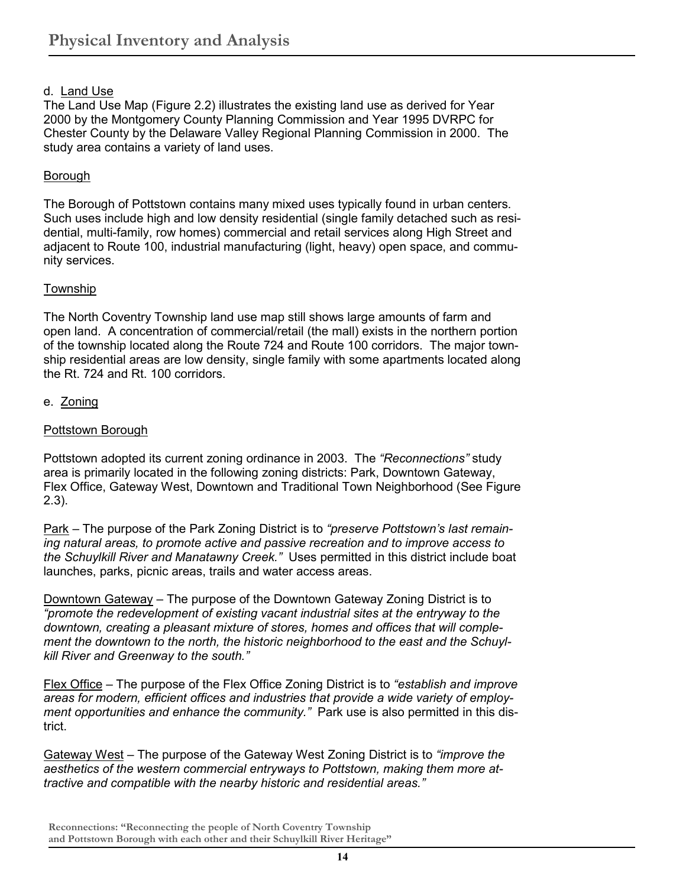## d. Land Use

The Land Use Map (Figure 2.2) illustrates the existing land use as derived for Year 2000 by the Montgomery County Planning Commission and Year 1995 DVRPC for Chester County by the Delaware Valley Regional Planning Commission in 2000. The study area contains a variety of land uses.

#### Borough

The Borough of Pottstown contains many mixed uses typically found in urban centers. Such uses include high and low density residential (single family detached such as residential, multi-family, row homes) commercial and retail services along High Street and adjacent to Route 100, industrial manufacturing (light, heavy) open space, and community services.

#### Township

The North Coventry Township land use map still shows large amounts of farm and open land. A concentration of commercial/retail (the mall) exists in the northern portion of the township located along the Route 724 and Route 100 corridors. The major township residential areas are low density, single family with some apartments located along the Rt. 724 and Rt. 100 corridors.

#### e. Zoning

#### Pottstown Borough

Pottstown adopted its current zoning ordinance in 2003. The *"Reconnections"* study area is primarily located in the following zoning districts: Park, Downtown Gateway, Flex Office, Gateway West, Downtown and Traditional Town Neighborhood (See Figure 2.3).

Park – The purpose of the Park Zoning District is to *"preserve Pottstown's last remaining natural areas, to promote active and passive recreation and to improve access to the Schuylkill River and Manatawny Creek."* Uses permitted in this district include boat launches, parks, picnic areas, trails and water access areas.

Downtown Gateway – The purpose of the Downtown Gateway Zoning District is to *"promote the redevelopment of existing vacant industrial sites at the entryway to the downtown, creating a pleasant mixture of stores, homes and offices that will complement the downtown to the north, the historic neighborhood to the east and the Schuylkill River and Greenway to the south."* 

Flex Office – The purpose of the Flex Office Zoning District is to *"establish and improve areas for modern, efficient offices and industries that provide a wide variety of employment opportunities and enhance the community."* Park use is also permitted in this district.

Gateway West – The purpose of the Gateway West Zoning District is to *"improve the aesthetics of the western commercial entryways to Pottstown, making them more attractive and compatible with the nearby historic and residential areas."* 

**Reconnections: "Reconnecting the people of North Coventry Township and Pottstown Borough with each other and their Schuylkill River Heritage"**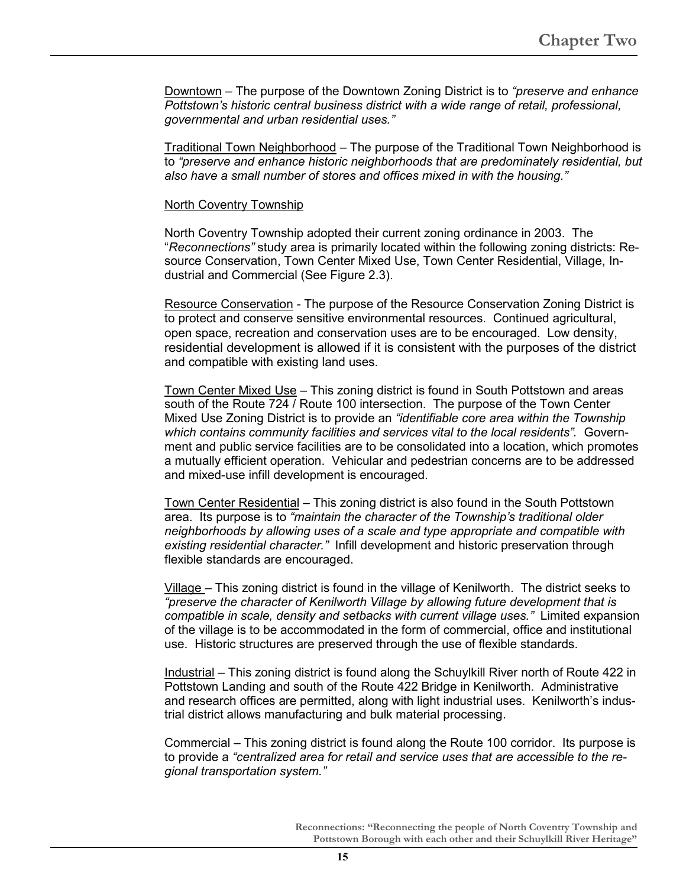Downtown – The purpose of the Downtown Zoning District is to *"preserve and enhance Pottstown's historic central business district with a wide range of retail, professional, governmental and urban residential uses."* 

Traditional Town Neighborhood - The purpose of the Traditional Town Neighborhood is to *"preserve and enhance historic neighborhoods that are predominately residential, but also have a small number of stores and offices mixed in with the housing."* 

#### North Coventry Township

North Coventry Township adopted their current zoning ordinance in 2003. The "*Reconnections"* study area is primarily located within the following zoning districts: Resource Conservation, Town Center Mixed Use, Town Center Residential, Village, Industrial and Commercial (See Figure 2.3).

Resource Conservation - The purpose of the Resource Conservation Zoning District is to protect and conserve sensitive environmental resources. Continued agricultural, open space, recreation and conservation uses are to be encouraged. Low density, residential development is allowed if it is consistent with the purposes of the district and compatible with existing land uses.

Town Center Mixed Use – This zoning district is found in South Pottstown and areas south of the Route 724 / Route 100 intersection. The purpose of the Town Center Mixed Use Zoning District is to provide an *"identifiable core area within the Township which contains community facilities and services vital to the local residents".* Government and public service facilities are to be consolidated into a location, which promotes a mutually efficient operation. Vehicular and pedestrian concerns are to be addressed and mixed-use infill development is encouraged.

Town Center Residential – This zoning district is also found in the South Pottstown area. Its purpose is to *"maintain the character of the Township's traditional older neighborhoods by allowing uses of a scale and type appropriate and compatible with existing residential character."* Infill development and historic preservation through flexible standards are encouraged.

Village – This zoning district is found in the village of Kenilworth. The district seeks to *"preserve the character of Kenilworth Village by allowing future development that is compatible in scale, density and setbacks with current village uses."* Limited expansion of the village is to be accommodated in the form of commercial, office and institutional use. Historic structures are preserved through the use of flexible standards.

Industrial – This zoning district is found along the Schuylkill River north of Route 422 in Pottstown Landing and south of the Route 422 Bridge in Kenilworth. Administrative and research offices are permitted, along with light industrial uses. Kenilworth's industrial district allows manufacturing and bulk material processing.

Commercial – This zoning district is found along the Route 100 corridor. Its purpose is to provide a *"centralized area for retail and service uses that are accessible to the regional transportation system."*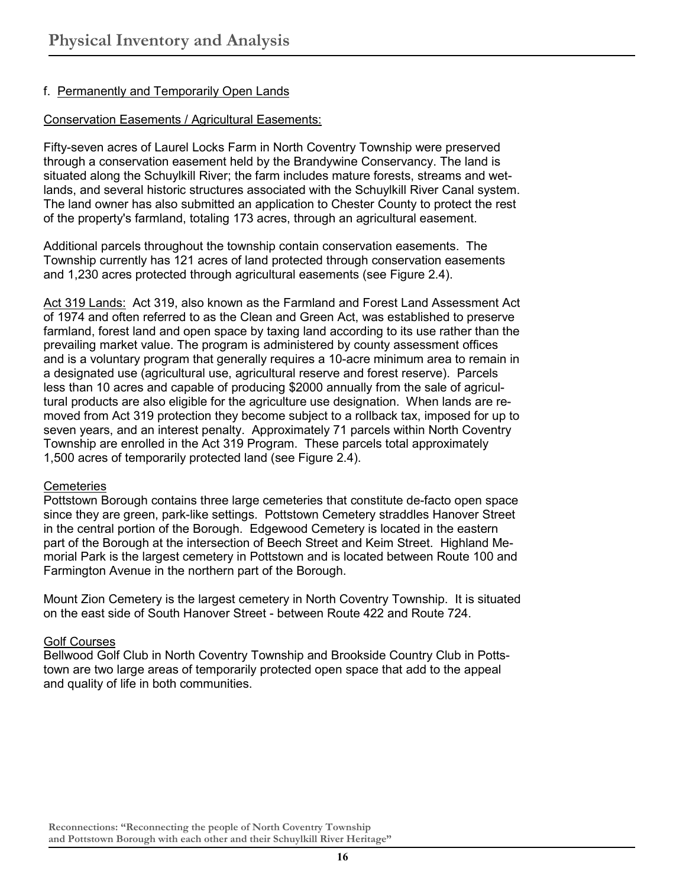## f. Permanently and Temporarily Open Lands

## Conservation Easements / Agricultural Easements:

Fifty-seven acres of Laurel Locks Farm in North Coventry Township were preserved through a conservation easement held by the Brandywine Conservancy. The land is situated along the Schuylkill River; the farm includes mature forests, streams and wetlands, and several historic structures associated with the Schuylkill River Canal system. The land owner has also submitted an application to Chester County to protect the rest of the property's farmland, totaling 173 acres, through an agricultural easement.

Additional parcels throughout the township contain conservation easements. The Township currently has 121 acres of land protected through conservation easements and 1,230 acres protected through agricultural easements (see Figure 2.4).

Act 319 Lands: Act 319, also known as the Farmland and Forest Land Assessment Act of 1974 and often referred to as the Clean and Green Act, was established to preserve farmland, forest land and open space by taxing land according to its use rather than the prevailing market value. The program is administered by county assessment offices and is a voluntary program that generally requires a 10-acre minimum area to remain in a designated use (agricultural use, agricultural reserve and forest reserve). Parcels less than 10 acres and capable of producing \$2000 annually from the sale of agricultural products are also eligible for the agriculture use designation. When lands are removed from Act 319 protection they become subject to a rollback tax, imposed for up to seven years, and an interest penalty. Approximately 71 parcels within North Coventry Township are enrolled in the Act 319 Program. These parcels total approximately 1,500 acres of temporarily protected land (see Figure 2.4).

#### **Cemeteries**

Pottstown Borough contains three large cemeteries that constitute de-facto open space since they are green, park-like settings. Pottstown Cemetery straddles Hanover Street in the central portion of the Borough. Edgewood Cemetery is located in the eastern part of the Borough at the intersection of Beech Street and Keim Street. Highland Memorial Park is the largest cemetery in Pottstown and is located between Route 100 and Farmington Avenue in the northern part of the Borough.

Mount Zion Cemetery is the largest cemetery in North Coventry Township. It is situated on the east side of South Hanover Street - between Route 422 and Route 724.

## Golf Courses

Bellwood Golf Club in North Coventry Township and Brookside Country Club in Pottstown are two large areas of temporarily protected open space that add to the appeal and quality of life in both communities.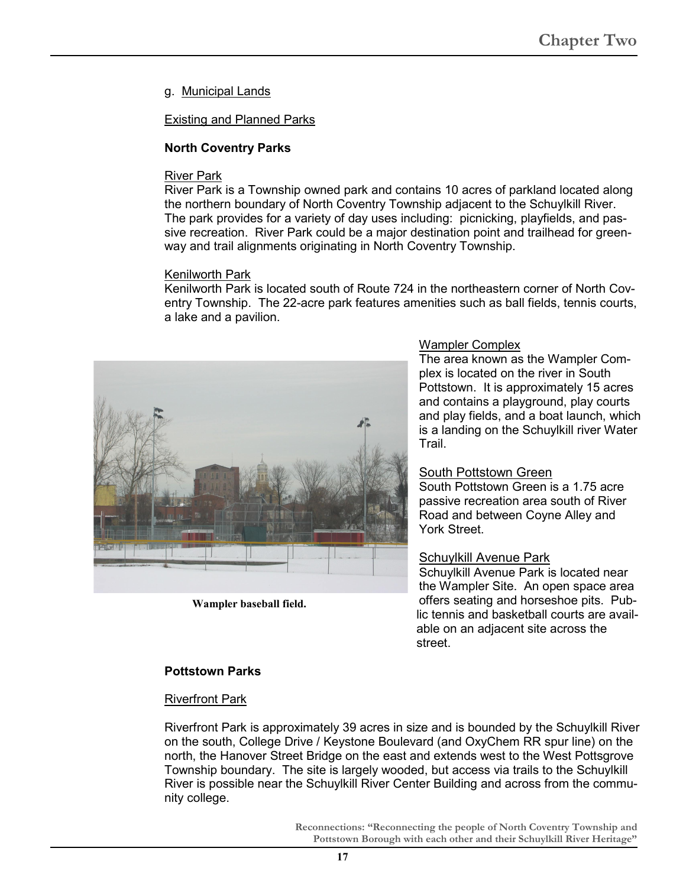g. Municipal Lands

Existing and Planned Parks

## **North Coventry Parks**

#### River Park

River Park is a Township owned park and contains 10 acres of parkland located along the northern boundary of North Coventry Township adjacent to the Schuylkill River. The park provides for a variety of day uses including: picnicking, playfields, and passive recreation. River Park could be a major destination point and trailhead for greenway and trail alignments originating in North Coventry Township.

#### Kenilworth Park

Kenilworth Park is located south of Route 724 in the northeastern corner of North Coventry Township. The 22-acre park features amenities such as ball fields, tennis courts, a lake and a pavilion.



**Wampler baseball field.** 

#### Wampler Complex

The area known as the Wampler Complex is located on the river in South Pottstown. It is approximately 15 acres and contains a playground, play courts and play fields, and a boat launch, which is a landing on the Schuylkill river Water Trail.

## South Pottstown Green

South Pottstown Green is a 1.75 acre passive recreation area south of River Road and between Coyne Alley and York Street.

## Schuylkill Avenue Park

Schuylkill Avenue Park is located near the Wampler Site. An open space area offers seating and horseshoe pits. Public tennis and basketball courts are available on an adjacent site across the street.

## **Pottstown Parks**

#### Riverfront Park

Riverfront Park is approximately 39 acres in size and is bounded by the Schuylkill River on the south, College Drive / Keystone Boulevard (and OxyChem RR spur line) on the north, the Hanover Street Bridge on the east and extends west to the West Pottsgrove Township boundary. The site is largely wooded, but access via trails to the Schuylkill River is possible near the Schuylkill River Center Building and across from the community college.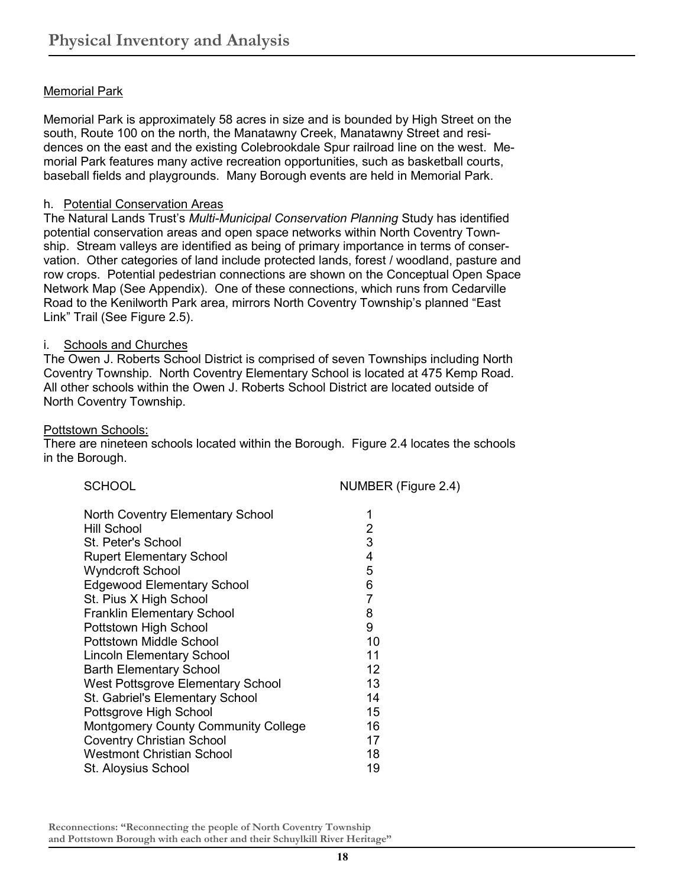## **Memorial Park**

Memorial Park is approximately 58 acres in size and is bounded by High Street on the south, Route 100 on the north, the Manatawny Creek, Manatawny Street and residences on the east and the existing Colebrookdale Spur railroad line on the west. Memorial Park features many active recreation opportunities, such as basketball courts, baseball fields and playgrounds. Many Borough events are held in Memorial Park.

#### h. Potential Conservation Areas

The Natural Lands Trust's *Multi-Municipal Conservation Planning* Study has identified potential conservation areas and open space networks within North Coventry Township. Stream valleys are identified as being of primary importance in terms of conservation. Other categories of land include protected lands, forest / woodland, pasture and row crops. Potential pedestrian connections are shown on the Conceptual Open Space Network Map (See Appendix). One of these connections, which runs from Cedarville Road to the Kenilworth Park area, mirrors North Coventry Township's planned "East Link" Trail (See Figure 2.5).

#### i. Schools and Churches

The Owen J. Roberts School District is comprised of seven Townships including North Coventry Township. North Coventry Elementary School is located at 475 Kemp Road. All other schools within the Owen J. Roberts School District are located outside of North Coventry Township.

#### Pottstown Schools:

There are nineteen schools located within the Borough. Figure 2.4 locates the schools in the Borough.

| <b>SCHOOL</b>                              | NUMBER (Figure 2.4) |
|--------------------------------------------|---------------------|
| <b>North Coventry Elementary School</b>    | 1                   |
| Hill School                                | 2                   |
| St. Peter's School                         | 3                   |
| <b>Rupert Elementary School</b>            | 4                   |
| <b>Wyndcroft School</b>                    | 5                   |
| <b>Edgewood Elementary School</b>          | 6                   |
| St. Pius X High School                     | 7                   |
| <b>Franklin Elementary School</b>          | 8                   |
| Pottstown High School                      | 9                   |
| Pottstown Middle School                    | 10                  |
| <b>Lincoln Elementary School</b>           | 11                  |
| <b>Barth Elementary School</b>             | 12                  |
| West Pottsgrove Elementary School          | 13                  |
| St. Gabriel's Elementary School            | 14                  |
| Pottsgrove High School                     | 15                  |
| <b>Montgomery County Community College</b> | 16                  |
| <b>Coventry Christian School</b>           | 17                  |
| <b>Westmont Christian School</b>           | 18                  |
| St. Aloysius School                        | 19                  |
|                                            |                     |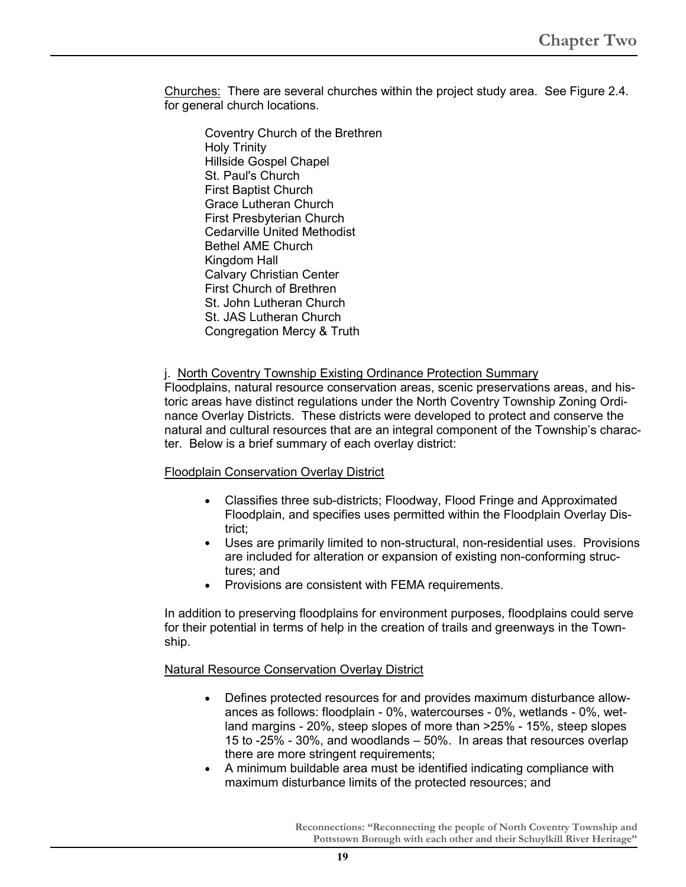Churches: There are several churches within the project study area. See Figure 2.4. for general church locations.

Coventry Church of the Brethren Holy Trinity Hillside Gospel Chapel St. Paul's Church First Baptist Church Grace Lutheran Church First Presbyterian Church Cedarville United Methodist Bethel AME Church Kingdom Hall Calvary Christian Center First Church of Brethren St. John Lutheran Church St. JAS Lutheran Church Congregation Mercy & Truth

#### j. North Coventry Township Existing Ordinance Protection Summary

Floodplains, natural resource conservation areas, scenic preservations areas, and historic areas have distinct regulations under the North Coventry Township Zoning Ordinance Overlay Districts. These districts were developed to protect and conserve the natural and cultural resources that are an integral component of the Township's character. Below is a brief summary of each overlay district:

#### Floodplain Conservation Overlay District

- Classifies three sub-districts; Floodway, Flood Fringe and Approximated Floodplain, and specifies uses permitted within the Floodplain Overlay District;
- Uses are primarily limited to non-structural, non-residential uses. Provisions are included for alteration or expansion of existing non-conforming structures; and
- Provisions are consistent with FEMA requirements.

In addition to preserving floodplains for environment purposes, floodplains could serve for their potential in terms of help in the creation of trails and greenways in the Township.

#### Natural Resource Conservation Overlay District

- Defines protected resources for and provides maximum disturbance allowances as follows: floodplain - 0%, watercourses - 0%, wetlands - 0%, wetland margins - 20%, steep slopes of more than >25% - 15%, steep slopes 15 to -25% - 30%, and woodlands – 50%. In areas that resources overlap there are more stringent requirements;
- A minimum buildable area must be identified indicating compliance with maximum disturbance limits of the protected resources; and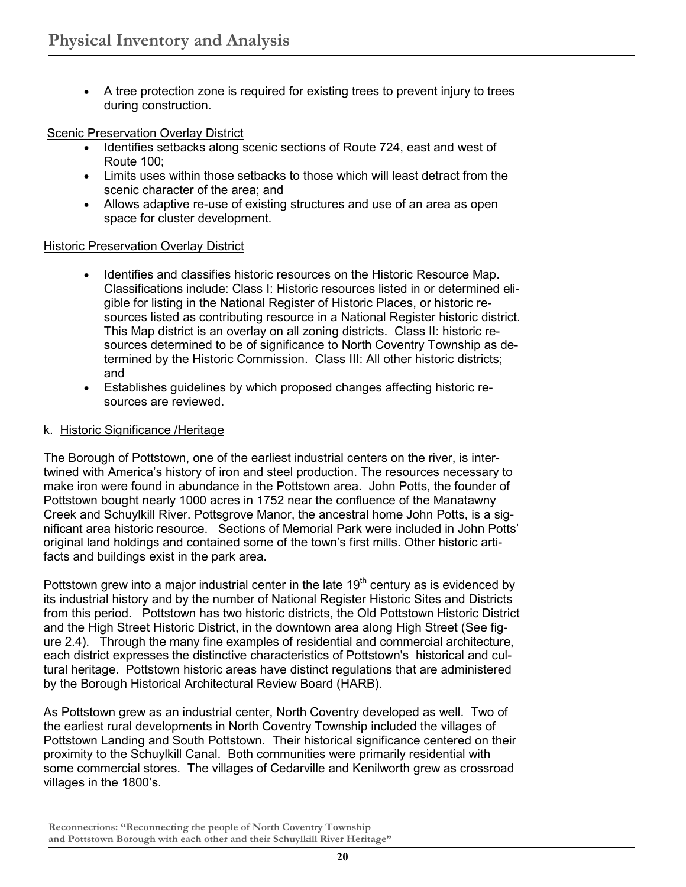• A tree protection zone is required for existing trees to prevent injury to trees during construction.

### Scenic Preservation Overlay District

- Identifies setbacks along scenic sections of Route 724, east and west of Route 100;
- Limits uses within those setbacks to those which will least detract from the scenic character of the area; and
- Allows adaptive re-use of existing structures and use of an area as open space for cluster development.

#### Historic Preservation Overlay District

- Identifies and classifies historic resources on the Historic Resource Map. Classifications include: Class I: Historic resources listed in or determined eligible for listing in the National Register of Historic Places, or historic resources listed as contributing resource in a National Register historic district. This Map district is an overlay on all zoning districts. Class II: historic resources determined to be of significance to North Coventry Township as determined by the Historic Commission. Class III: All other historic districts; and
- Establishes guidelines by which proposed changes affecting historic resources are reviewed.

## k. Historic Significance /Heritage

The Borough of Pottstown, one of the earliest industrial centers on the river, is intertwined with America's history of iron and steel production. The resources necessary to make iron were found in abundance in the Pottstown area. John Potts, the founder of Pottstown bought nearly 1000 acres in 1752 near the confluence of the Manatawny Creek and Schuylkill River. Pottsgrove Manor, the ancestral home John Potts, is a significant area historic resource. Sections of Memorial Park were included in John Potts' original land holdings and contained some of the town's first mills. Other historic artifacts and buildings exist in the park area.

Pottstown grew into a major industrial center in the late  $19<sup>th</sup>$  century as is evidenced by its industrial history and by the number of National Register Historic Sites and Districts from this period. Pottstown has two historic districts, the Old Pottstown Historic District and the High Street Historic District, in the downtown area along High Street (See figure 2.4). Through the many fine examples of residential and commercial architecture, each district expresses the distinctive characteristics of Pottstown's historical and cultural heritage. Pottstown historic areas have distinct regulations that are administered by the Borough Historical Architectural Review Board (HARB).

As Pottstown grew as an industrial center, North Coventry developed as well. Two of the earliest rural developments in North Coventry Township included the villages of Pottstown Landing and South Pottstown. Their historical significance centered on their proximity to the Schuylkill Canal. Both communities were primarily residential with some commercial stores. The villages of Cedarville and Kenilworth grew as crossroad villages in the 1800's.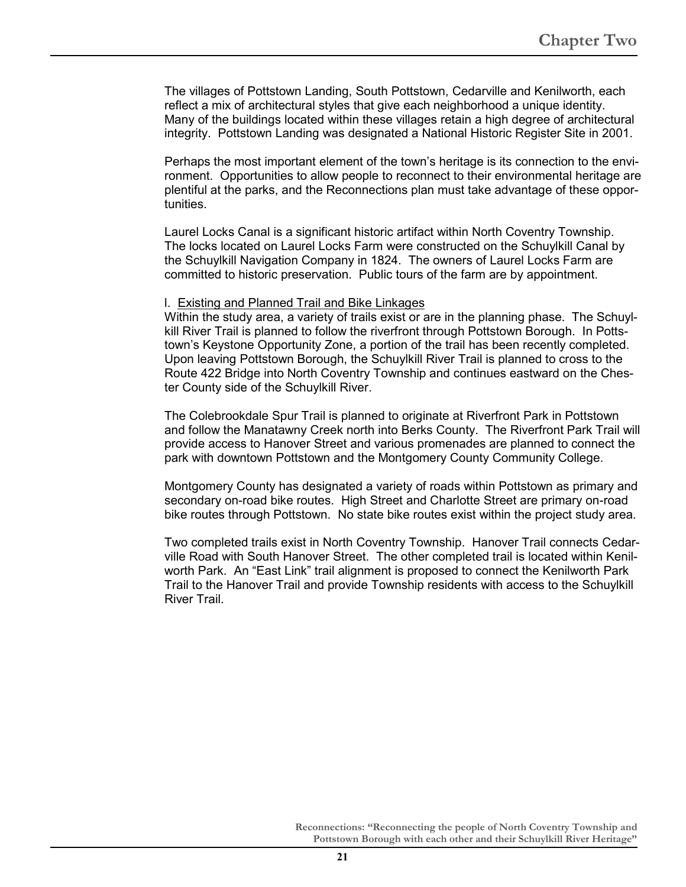The villages of Pottstown Landing, South Pottstown, Cedarville and Kenilworth, each reflect a mix of architectural styles that give each neighborhood a unique identity. Many of the buildings located within these villages retain a high degree of architectural integrity. Pottstown Landing was designated a National Historic Register Site in 2001.

Perhaps the most important element of the town's heritage is its connection to the environment. Opportunities to allow people to reconnect to their environmental heritage are plentiful at the parks, and the Reconnections plan must take advantage of these opportunities.

Laurel Locks Canal is a significant historic artifact within North Coventry Township. The locks located on Laurel Locks Farm were constructed on the Schuylkill Canal by the Schuylkill Navigation Company in 1824. The owners of Laurel Locks Farm are committed to historic preservation. Public tours of the farm are by appointment.

#### l. Existing and Planned Trail and Bike Linkages

Within the study area, a variety of trails exist or are in the planning phase. The Schuylkill River Trail is planned to follow the riverfront through Pottstown Borough. In Pottstown's Keystone Opportunity Zone, a portion of the trail has been recently completed. Upon leaving Pottstown Borough, the Schuylkill River Trail is planned to cross to the Route 422 Bridge into North Coventry Township and continues eastward on the Chester County side of the Schuylkill River.

The Colebrookdale Spur Trail is planned to originate at Riverfront Park in Pottstown and follow the Manatawny Creek north into Berks County. The Riverfront Park Trail will provide access to Hanover Street and various promenades are planned to connect the park with downtown Pottstown and the Montgomery County Community College.

Montgomery County has designated a variety of roads within Pottstown as primary and secondary on-road bike routes. High Street and Charlotte Street are primary on-road bike routes through Pottstown. No state bike routes exist within the project study area.

Two completed trails exist in North Coventry Township. Hanover Trail connects Cedarville Road with South Hanover Street. The other completed trail is located within Kenilworth Park. An "East Link" trail alignment is proposed to connect the Kenilworth Park Trail to the Hanover Trail and provide Township residents with access to the Schuylkill River Trail.